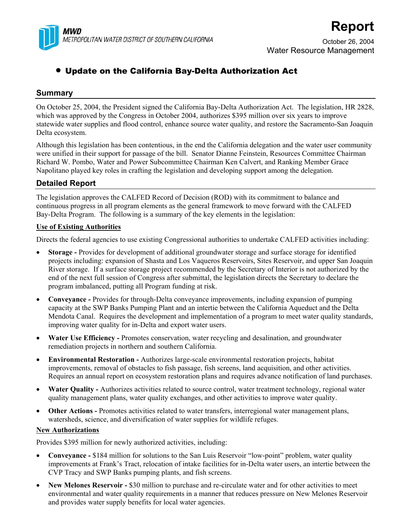

# **Report**

October 26, 2004 Water Resource Management

## • Update on the California Bay-Delta Authorization Act

## **Summary**

On October 25, 2004, the President signed the California Bay-Delta Authorization Act. The legislation, HR 2828, which was approved by the Congress in October 2004, authorizes \$395 million over six years to improve statewide water supplies and flood control, enhance source water quality, and restore the Sacramento-San Joaquin Delta ecosystem.

Although this legislation has been contentious, in the end the California delegation and the water user community were unified in their support for passage of the bill. Senator Dianne Feinstein, Resources Committee Chairman Richard W. Pombo, Water and Power Subcommittee Chairman Ken Calvert, and Ranking Member Grace Napolitano played key roles in crafting the legislation and developing support among the delegation.

## **Detailed Report**

The legislation approves the CALFED Record of Decision (ROD) with its commitment to balance and continuous progress in all program elements as the general framework to move forward with the CALFED Bay-Delta Program. The following is a summary of the key elements in the legislation:

### **Use of Existing Authorities**

Directs the federal agencies to use existing Congressional authorities to undertake CALFED activities including:

- **Storage** Provides for development of additional groundwater storage and surface storage for identified projects including: expansion of Shasta and Los Vaqueros Reservoirs, Sites Reservoir, and upper San Joaquin River storage. If a surface storage project recommended by the Secretary of Interior is not authorized by the end of the next full session of Congress after submittal, the legislation directs the Secretary to declare the program imbalanced, putting all Program funding at risk.
- **Conveyance** Provides for through-Delta conveyance improvements, including expansion of pumping capacity at the SWP Banks Pumping Plant and an intertie between the California Aqueduct and the Delta Mendota Canal. Requires the development and implementation of a program to meet water quality standards, improving water quality for in-Delta and export water users.
- **Water Use Efficiency** Promotes conservation, water recycling and desalination, and groundwater remediation projects in northern and southern California.
- **Environmental Restoration** Authorizes large-scale environmental restoration projects, habitat improvements, removal of obstacles to fish passage, fish screens, land acquisition, and other activities. Requires an annual report on ecosystem restoration plans and requires advance notification of land purchases.
- **Water Quality** Authorizes activities related to source control, water treatment technology, regional water quality management plans, water quality exchanges, and other activities to improve water quality.
- Other Actions Promotes activities related to water transfers, interregional water management plans, watersheds, science, and diversification of water supplies for wildlife refuges.

### **New Authorizations**

Provides \$395 million for newly authorized activities, including:

- **Conveyance** \$184 million for solutions to the San Luis Reservoir "low-point" problem, water quality improvements at Frank's Tract, relocation of intake facilities for in-Delta water users, an intertie between the CVP Tracy and SWP Banks pumping plants, and fish screens.
- **New Melones Reservoir -** \$30 million to purchase and re-circulate water and for other activities to meet environmental and water quality requirements in a manner that reduces pressure on New Melones Reservoir and provides water supply benefits for local water agencies.